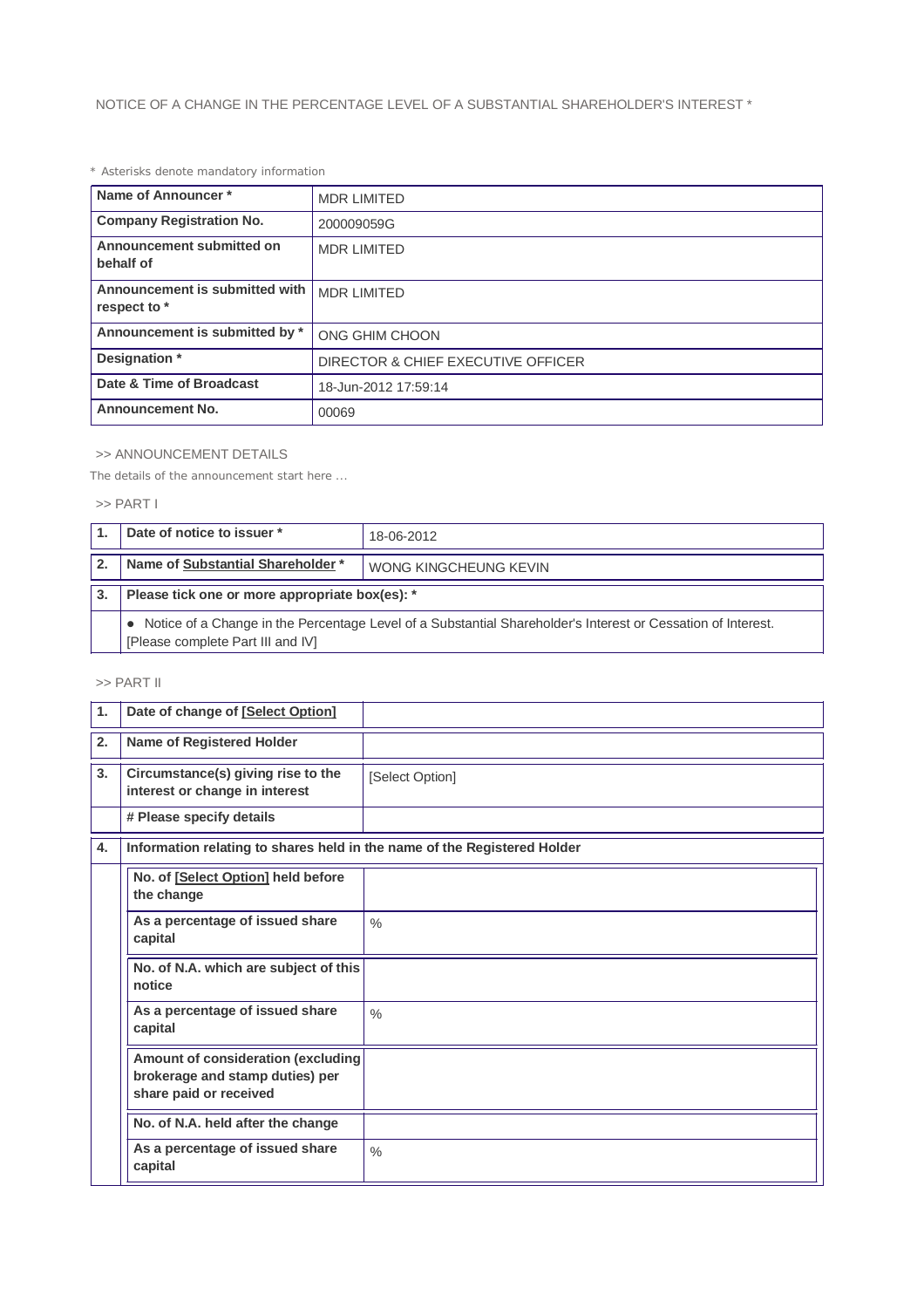# *\* Asterisks denote mandatory information*

| Name of Announcer*                             | <b>MDR LIMITED</b>                 |  |
|------------------------------------------------|------------------------------------|--|
| <b>Company Registration No.</b>                | 200009059G                         |  |
| Announcement submitted on<br>behalf of         | <b>MDR LIMITED</b>                 |  |
| Announcement is submitted with<br>respect to * | <b>MDR LIMITED</b>                 |  |
| Announcement is submitted by *                 | ONG GHIM CHOON                     |  |
| Designation *                                  | DIRECTOR & CHIEF EXECUTIVE OFFICER |  |
| Date & Time of Broadcast                       | 18-Jun-2012 17:59:14               |  |
| <b>Announcement No.</b>                        | 00069                              |  |

## >> ANNOUNCEMENT DETAILS

*The details of the announcement start here ...*

#### >> PART I

|              | Date of notice to issuer *                                                                                                                          | 18-06-2012            |  |  |
|--------------|-----------------------------------------------------------------------------------------------------------------------------------------------------|-----------------------|--|--|
| $\mathbf{2}$ | Name of Substantial Shareholder *                                                                                                                   | WONG KINGCHEUNG KEVIN |  |  |
| 3.           | Please tick one or more appropriate box(es): *                                                                                                      |                       |  |  |
|              | • Notice of a Change in the Percentage Level of a Substantial Shareholder's Interest or Cessation of Interest.<br>[Please complete Part III and IV] |                       |  |  |

# >> PART II

| 1. | Date of change of [Select Option]                                                               |                 |  |  |
|----|-------------------------------------------------------------------------------------------------|-----------------|--|--|
| 2. | <b>Name of Registered Holder</b>                                                                |                 |  |  |
| 3. | Circumstance(s) giving rise to the<br>interest or change in interest                            | [Select Option] |  |  |
|    | # Please specify details                                                                        |                 |  |  |
| 4. | Information relating to shares held in the name of the Registered Holder                        |                 |  |  |
|    | No. of [Select Option] held before<br>the change                                                |                 |  |  |
|    | As a percentage of issued share<br>capital                                                      | $\frac{0}{0}$   |  |  |
|    | No. of N.A. which are subject of this<br>notice                                                 |                 |  |  |
|    | As a percentage of issued share<br>capital                                                      | $\frac{0}{0}$   |  |  |
|    | Amount of consideration (excluding<br>brokerage and stamp duties) per<br>share paid or received |                 |  |  |
|    | No. of N.A. held after the change                                                               |                 |  |  |
|    | As a percentage of issued share<br>capital                                                      | $\frac{0}{0}$   |  |  |